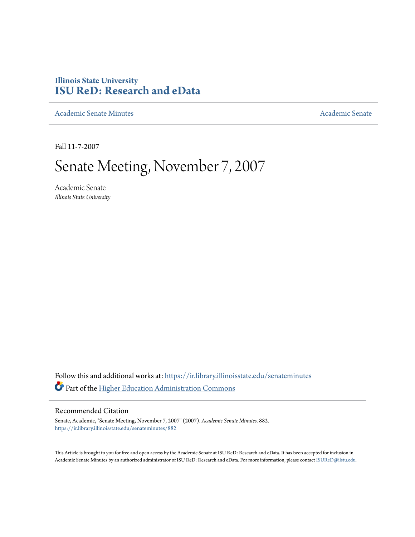## **Illinois State University [ISU ReD: Research and eData](https://ir.library.illinoisstate.edu?utm_source=ir.library.illinoisstate.edu%2Fsenateminutes%2F882&utm_medium=PDF&utm_campaign=PDFCoverPages)**

[Academic Senate Minutes](https://ir.library.illinoisstate.edu/senateminutes?utm_source=ir.library.illinoisstate.edu%2Fsenateminutes%2F882&utm_medium=PDF&utm_campaign=PDFCoverPages) [Academic Senate](https://ir.library.illinoisstate.edu/senate?utm_source=ir.library.illinoisstate.edu%2Fsenateminutes%2F882&utm_medium=PDF&utm_campaign=PDFCoverPages) Academic Senate

Fall 11-7-2007

# Senate Meeting, November 7, 2007

Academic Senate *Illinois State University*

Follow this and additional works at: [https://ir.library.illinoisstate.edu/senateminutes](https://ir.library.illinoisstate.edu/senateminutes?utm_source=ir.library.illinoisstate.edu%2Fsenateminutes%2F882&utm_medium=PDF&utm_campaign=PDFCoverPages) Part of the [Higher Education Administration Commons](http://network.bepress.com/hgg/discipline/791?utm_source=ir.library.illinoisstate.edu%2Fsenateminutes%2F882&utm_medium=PDF&utm_campaign=PDFCoverPages)

#### Recommended Citation

Senate, Academic, "Senate Meeting, November 7, 2007" (2007). *Academic Senate Minutes*. 882. [https://ir.library.illinoisstate.edu/senateminutes/882](https://ir.library.illinoisstate.edu/senateminutes/882?utm_source=ir.library.illinoisstate.edu%2Fsenateminutes%2F882&utm_medium=PDF&utm_campaign=PDFCoverPages)

This Article is brought to you for free and open access by the Academic Senate at ISU ReD: Research and eData. It has been accepted for inclusion in Academic Senate Minutes by an authorized administrator of ISU ReD: Research and eData. For more information, please contact [ISUReD@ilstu.edu.](mailto:ISUReD@ilstu.edu)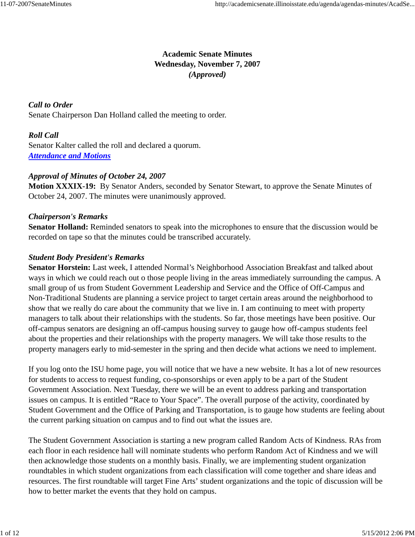## **Academic Senate Minutes Wednesday, November 7, 2007** *(Approved)*

*Call to Order* Senate Chairperson Dan Holland called the meeting to order.

## *Roll Call*

Senator Kalter called the roll and declared a quorum. *Attendance and Motions*

### *Approval of Minutes of October 24, 2007*

**Motion XXXIX-19:** By Senator Anders, seconded by Senator Stewart, to approve the Senate Minutes of October 24, 2007. The minutes were unanimously approved.

### *Chairperson's Remarks*

**Senator Holland:** Reminded senators to speak into the microphones to ensure that the discussion would be recorded on tape so that the minutes could be transcribed accurately.

### *Student Body President's Remarks*

**Senator Horstein:** Last week, I attended Normal's Neighborhood Association Breakfast and talked about ways in which we could reach out o those people living in the areas immediately surrounding the campus. A small group of us from Student Government Leadership and Service and the Office of Off-Campus and Non-Traditional Students are planning a service project to target certain areas around the neighborhood to show that we really do care about the community that we live in. I am continuing to meet with property managers to talk about their relationships with the students. So far, those meetings have been positive. Our off-campus senators are designing an off-campus housing survey to gauge how off-campus students feel about the properties and their relationships with the property managers. We will take those results to the property managers early to mid-semester in the spring and then decide what actions we need to implement.

If you log onto the ISU home page, you will notice that we have a new website. It has a lot of new resources for students to access to request funding, co-sponsorships or even apply to be a part of the Student Government Association. Next Tuesday, there we will be an event to address parking and transportation issues on campus. It is entitled "Race to Your Space". The overall purpose of the activity, coordinated by Student Government and the Office of Parking and Transportation, is to gauge how students are feeling about the current parking situation on campus and to find out what the issues are.

The Student Government Association is starting a new program called Random Acts of Kindness. RAs from each floor in each residence hall will nominate students who perform Random Act of Kindness and we will then acknowledge those students on a monthly basis. Finally, we are implementing student organization roundtables in which student organizations from each classification will come together and share ideas and resources. The first roundtable will target Fine Arts' student organizations and the topic of discussion will be how to better market the events that they hold on campus.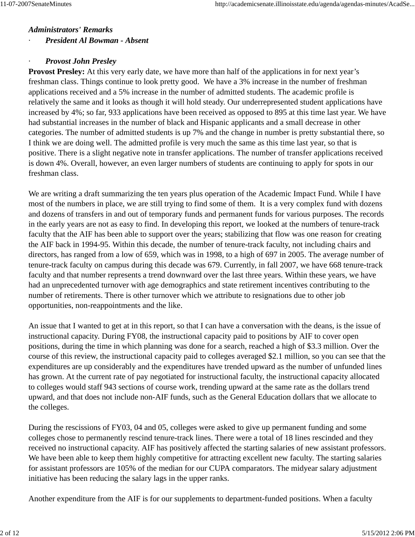#### *Administrators' Remarks*

· *President Al Bowman - Absent*

### · *Provost John Presley*

**Provost Presley:** At this very early date, we have more than half of the applications in for next year's freshman class. Things continue to look pretty good. We have a 3% increase in the number of freshman applications received and a 5% increase in the number of admitted students. The academic profile is relatively the same and it looks as though it will hold steady. Our underrepresented student applications have increased by 4%; so far, 933 applications have been received as opposed to 895 at this time last year. We have had substantial increases in the number of black and Hispanic applicants and a small decrease in other categories. The number of admitted students is up 7% and the change in number is pretty substantial there, so I think we are doing well. The admitted profile is very much the same as this time last year, so that is positive. There is a slight negative note in transfer applications. The number of transfer applications received is down 4%. Overall, however, an even larger numbers of students are continuing to apply for spots in our freshman class.

We are writing a draft summarizing the ten years plus operation of the Academic Impact Fund. While I have most of the numbers in place, we are still trying to find some of them. It is a very complex fund with dozens and dozens of transfers in and out of temporary funds and permanent funds for various purposes. The records in the early years are not as easy to find. In developing this report, we looked at the numbers of tenure-track faculty that the AIF has been able to support over the years; stabilizing that flow was one reason for creating the AIF back in 1994-95. Within this decade, the number of tenure-track faculty, not including chairs and directors, has ranged from a low of 659, which was in 1998, to a high of 697 in 2005. The average number of tenure-track faculty on campus during this decade was 679. Currently, in fall 2007, we have 668 tenure-track faculty and that number represents a trend downward over the last three years. Within these years, we have had an unprecedented turnover with age demographics and state retirement incentives contributing to the number of retirements. There is other turnover which we attribute to resignations due to other job opportunities, non-reappointments and the like.

An issue that I wanted to get at in this report, so that I can have a conversation with the deans, is the issue of instructional capacity. During FY08, the instructional capacity paid to positions by AIF to cover open positions, during the time in which planning was done for a search, reached a high of \$3.3 million. Over the course of this review, the instructional capacity paid to colleges averaged \$2.1 million, so you can see that the expenditures are up considerably and the expenditures have trended upward as the number of unfunded lines has grown. At the current rate of pay negotiated for instructional faculty, the instructional capacity allocated to colleges would staff 943 sections of course work, trending upward at the same rate as the dollars trend upward, and that does not include non-AIF funds, such as the General Education dollars that we allocate to the colleges.

During the rescissions of FY03, 04 and 05, colleges were asked to give up permanent funding and some colleges chose to permanently rescind tenure-track lines. There were a total of 18 lines rescinded and they received no instructional capacity. AIF has positively affected the starting salaries of new assistant professors. We have been able to keep them highly competitive for attracting excellent new faculty. The starting salaries for assistant professors are 105% of the median for our CUPA comparators. The midyear salary adjustment initiative has been reducing the salary lags in the upper ranks.

Another expenditure from the AIF is for our supplements to department-funded positions. When a faculty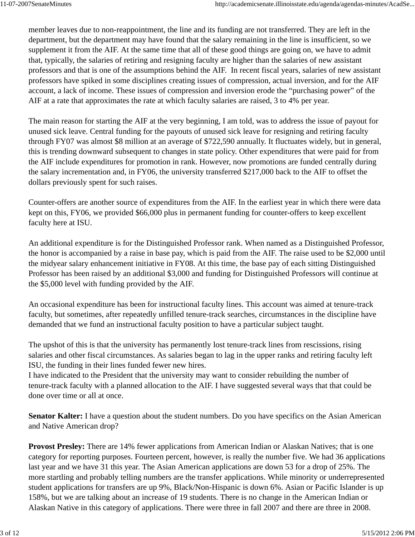member leaves due to non-reappointment, the line and its funding are not transferred. They are left in the department, but the department may have found that the salary remaining in the line is insufficient, so we supplement it from the AIF. At the same time that all of these good things are going on, we have to admit that, typically, the salaries of retiring and resigning faculty are higher than the salaries of new assistant professors and that is one of the assumptions behind the AIF. In recent fiscal years, salaries of new assistant professors have spiked in some disciplines creating issues of compression, actual inversion, and for the AIF account, a lack of income. These issues of compression and inversion erode the "purchasing power" of the AIF at a rate that approximates the rate at which faculty salaries are raised, 3 to 4% per year.

The main reason for starting the AIF at the very beginning, I am told, was to address the issue of payout for unused sick leave. Central funding for the payouts of unused sick leave for resigning and retiring faculty through FY07 was almost \$8 million at an average of \$722,590 annually. It fluctuates widely, but in general, this is trending downward subsequent to changes in state policy. Other expenditures that were paid for from the AIF include expenditures for promotion in rank. However, now promotions are funded centrally during the salary incrementation and, in FY06, the university transferred \$217,000 back to the AIF to offset the dollars previously spent for such raises.

Counter-offers are another source of expenditures from the AIF. In the earliest year in which there were data kept on this, FY06, we provided \$66,000 plus in permanent funding for counter-offers to keep excellent faculty here at ISU.

An additional expenditure is for the Distinguished Professor rank. When named as a Distinguished Professor, the honor is accompanied by a raise in base pay, which is paid from the AIF. The raise used to be \$2,000 until the midyear salary enhancement initiative in FY08. At this time, the base pay of each sitting Distinguished Professor has been raised by an additional \$3,000 and funding for Distinguished Professors will continue at the \$5,000 level with funding provided by the AIF.

An occasional expenditure has been for instructional faculty lines. This account was aimed at tenure-track faculty, but sometimes, after repeatedly unfilled tenure-track searches, circumstances in the discipline have demanded that we fund an instructional faculty position to have a particular subject taught.

The upshot of this is that the university has permanently lost tenure-track lines from rescissions, rising salaries and other fiscal circumstances. As salaries began to lag in the upper ranks and retiring faculty left ISU, the funding in their lines funded fewer new hires.

I have indicated to the President that the university may want to consider rebuilding the number of tenure-track faculty with a planned allocation to the AIF. I have suggested several ways that that could be done over time or all at once.

**Senator Kalter:** I have a question about the student numbers. Do you have specifics on the Asian American and Native American drop?

**Provost Presley:** There are 14% fewer applications from American Indian or Alaskan Natives; that is one category for reporting purposes. Fourteen percent, however, is really the number five. We had 36 applications last year and we have 31 this year. The Asian American applications are down 53 for a drop of 25%. The more startling and probably telling numbers are the transfer applications. While minority or underrepresented student applications for transfers are up 9%, Black/Non-Hispanic is down 6%. Asian or Pacific Islander is up 158%, but we are talking about an increase of 19 students. There is no change in the American Indian or Alaskan Native in this category of applications. There were three in fall 2007 and there are three in 2008.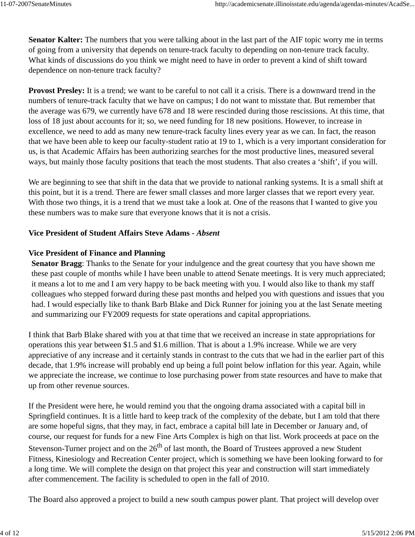**Senator Kalter:** The numbers that you were talking about in the last part of the AIF topic worry me in terms of going from a university that depends on tenure-track faculty to depending on non-tenure track faculty. What kinds of discussions do you think we might need to have in order to prevent a kind of shift toward dependence on non-tenure track faculty?

**Provost Presley:** It is a trend; we want to be careful to not call it a crisis. There is a downward trend in the numbers of tenure-track faculty that we have on campus; I do not want to misstate that. But remember that the average was 679, we currently have 678 and 18 were rescinded during those rescissions. At this time, that loss of 18 just about accounts for it; so, we need funding for 18 new positions. However, to increase in excellence, we need to add as many new tenure-track faculty lines every year as we can. In fact, the reason that we have been able to keep our faculty-student ratio at 19 to 1, which is a very important consideration for us, is that Academic Affairs has been authorizing searches for the most productive lines, measured several ways, but mainly those faculty positions that teach the most students. That also creates a 'shift', if you will.

We are beginning to see that shift in the data that we provide to national ranking systems. It is a small shift at this point, but it is a trend. There are fewer small classes and more larger classes that we report every year. With those two things, it is a trend that we must take a look at. One of the reasons that I wanted to give you these numbers was to make sure that everyone knows that it is not a crisis.

### **Vice President of Student Affairs Steve Adams -** *Absent*

#### **Vice President of Finance and Planning**

**Senator Bragg**: Thanks to the Senate for your indulgence and the great courtesy that you have shown me these past couple of months while I have been unable to attend Senate meetings. It is very much appreciated; it means a lot to me and I am very happy to be back meeting with you. I would also like to thank my staff colleagues who stepped forward during these past months and helped you with questions and issues that you had. I would especially like to thank Barb Blake and Dick Runner for joining you at the last Senate meeting and summarizing our FY2009 requests for state operations and capital appropriations.

I think that Barb Blake shared with you at that time that we received an increase in state appropriations for operations this year between \$1.5 and \$1.6 million. That is about a 1.9% increase. While we are very appreciative of any increase and it certainly stands in contrast to the cuts that we had in the earlier part of this decade, that 1.9% increase will probably end up being a full point below inflation for this year. Again, while we appreciate the increase, we continue to lose purchasing power from state resources and have to make that up from other revenue sources.

If the President were here, he would remind you that the ongoing drama associated with a capital bill in Springfield continues. It is a little hard to keep track of the complexity of the debate, but I am told that there are some hopeful signs, that they may, in fact, embrace a capital bill late in December or January and, of course, our request for funds for a new Fine Arts Complex is high on that list. Work proceeds at pace on the Stevenson-Turner project and on the  $26<sup>th</sup>$  of last month, the Board of Trustees approved a new Student Fitness, Kinesiology and Recreation Center project, which is something we have been looking forward to for a long time. We will complete the design on that project this year and construction will start immediately after commencement. The facility is scheduled to open in the fall of 2010.

The Board also approved a project to build a new south campus power plant. That project will develop over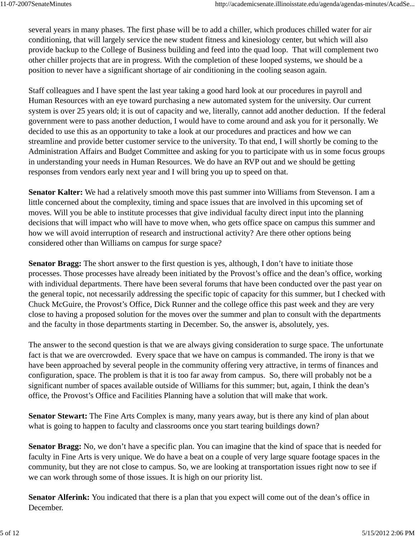several years in many phases. The first phase will be to add a chiller, which produces chilled water for air conditioning, that will largely service the new student fitness and kinesiology center, but which will also provide backup to the College of Business building and feed into the quad loop. That will complement two other chiller projects that are in progress. With the completion of these looped systems, we should be a position to never have a significant shortage of air conditioning in the cooling season again.

Staff colleagues and I have spent the last year taking a good hard look at our procedures in payroll and Human Resources with an eye toward purchasing a new automated system for the university. Our current system is over 25 years old; it is out of capacity and we, literally, cannot add another deduction. If the federal government were to pass another deduction, I would have to come around and ask you for it personally. We decided to use this as an opportunity to take a look at our procedures and practices and how we can streamline and provide better customer service to the university. To that end, I will shortly be coming to the Administration Affairs and Budget Committee and asking for you to participate with us in some focus groups in understanding your needs in Human Resources. We do have an RVP out and we should be getting responses from vendors early next year and I will bring you up to speed on that.

**Senator Kalter:** We had a relatively smooth move this past summer into Williams from Stevenson. I am a little concerned about the complexity, timing and space issues that are involved in this upcoming set of moves. Will you be able to institute processes that give individual faculty direct input into the planning decisions that will impact who will have to move when, who gets office space on campus this summer and how we will avoid interruption of research and instructional activity? Are there other options being considered other than Williams on campus for surge space?

**Senator Bragg:** The short answer to the first question is yes, although, I don't have to initiate those processes. Those processes have already been initiated by the Provost's office and the dean's office, working with individual departments. There have been several forums that have been conducted over the past year on the general topic, not necessarily addressing the specific topic of capacity for this summer, but I checked with Chuck McGuire, the Provost's Office, Dick Runner and the college office this past week and they are very close to having a proposed solution for the moves over the summer and plan to consult with the departments and the faculty in those departments starting in December. So, the answer is, absolutely, yes.

The answer to the second question is that we are always giving consideration to surge space. The unfortunate fact is that we are overcrowded. Every space that we have on campus is commanded. The irony is that we have been approached by several people in the community offering very attractive, in terms of finances and configuration, space. The problem is that it is too far away from campus. So, there will probably not be a significant number of spaces available outside of Williams for this summer; but, again, I think the dean's office, the Provost's Office and Facilities Planning have a solution that will make that work.

**Senator Stewart:** The Fine Arts Complex is many, many years away, but is there any kind of plan about what is going to happen to faculty and classrooms once you start tearing buildings down?

**Senator Bragg:** No, we don't have a specific plan. You can imagine that the kind of space that is needed for faculty in Fine Arts is very unique. We do have a beat on a couple of very large square footage spaces in the community, but they are not close to campus. So, we are looking at transportation issues right now to see if we can work through some of those issues. It is high on our priority list.

**Senator Alferink:** You indicated that there is a plan that you expect will come out of the dean's office in December.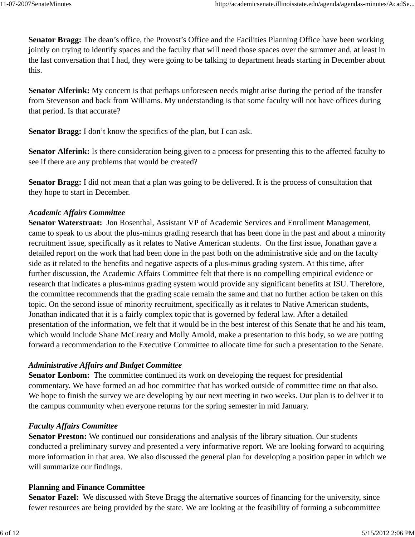**Senator Bragg:** The dean's office, the Provost's Office and the Facilities Planning Office have been working jointly on trying to identify spaces and the faculty that will need those spaces over the summer and, at least in the last conversation that I had, they were going to be talking to department heads starting in December about this.

**Senator Alferink:** My concern is that perhaps unforeseen needs might arise during the period of the transfer from Stevenson and back from Williams. My understanding is that some faculty will not have offices during that period. Is that accurate?

**Senator Bragg:** I don't know the specifics of the plan, but I can ask.

**Senator Alferink:** Is there consideration being given to a process for presenting this to the affected faculty to see if there are any problems that would be created?

**Senator Bragg:** I did not mean that a plan was going to be delivered. It is the process of consultation that they hope to start in December.

### *Academic Affairs Committee*

**Senator Waterstraat:** Jon Rosenthal, Assistant VP of Academic Services and Enrollment Management, came to speak to us about the plus-minus grading research that has been done in the past and about a minority recruitment issue, specifically as it relates to Native American students. On the first issue, Jonathan gave a detailed report on the work that had been done in the past both on the administrative side and on the faculty side as it related to the benefits and negative aspects of a plus-minus grading system. At this time, after further discussion, the Academic Affairs Committee felt that there is no compelling empirical evidence or research that indicates a plus-minus grading system would provide any significant benefits at ISU. Therefore, the committee recommends that the grading scale remain the same and that no further action be taken on this topic. On the second issue of minority recruitment, specifically as it relates to Native American students, Jonathan indicated that it is a fairly complex topic that is governed by federal law. After a detailed presentation of the information, we felt that it would be in the best interest of this Senate that he and his team, which would include Shane McCreary and Molly Arnold, make a presentation to this body, so we are putting forward a recommendation to the Executive Committee to allocate time for such a presentation to the Senate.

## *Administrative Affairs and Budget Committee*

Senator Lonbom: The committee continued its work on developing the request for presidential commentary. We have formed an ad hoc committee that has worked outside of committee time on that also. We hope to finish the survey we are developing by our next meeting in two weeks. Our plan is to deliver it to the campus community when everyone returns for the spring semester in mid January.

## *Faculty Affairs Committee*

**Senator Preston:** We continued our considerations and analysis of the library situation. Our students conducted a preliminary survey and presented a very informative report. We are looking forward to acquiring more information in that area. We also discussed the general plan for developing a position paper in which we will summarize our findings.

#### **Planning and Finance Committee**

**Senator Fazel:** We discussed with Steve Bragg the alternative sources of financing for the university, since fewer resources are being provided by the state. We are looking at the feasibility of forming a subcommittee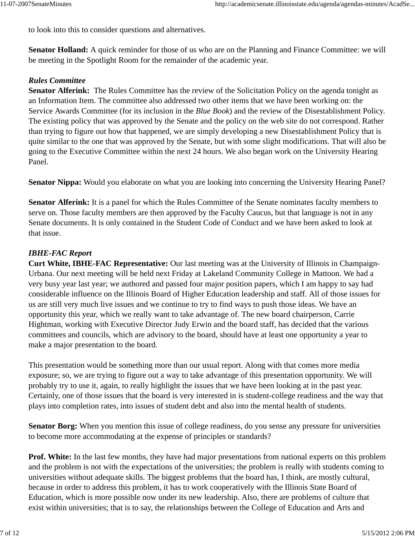to look into this to consider questions and alternatives.

**Senator Holland:** A quick reminder for those of us who are on the Planning and Finance Committee: we will be meeting in the Spotlight Room for the remainder of the academic year.

#### *Rules Committee*

**Senator Alferink:** The Rules Committee has the review of the Solicitation Policy on the agenda tonight as an Information Item. The committee also addressed two other items that we have been working on: the Service Awards Committee (for its inclusion in the *Blue Book*) and the review of the Disestablishment Policy. The existing policy that was approved by the Senate and the policy on the web site do not correspond. Rather than trying to figure out how that happened, we are simply developing a new Disestablishment Policy that is quite similar to the one that was approved by the Senate, but with some slight modifications. That will also be going to the Executive Committee within the next 24 hours. We also began work on the University Hearing Panel.

**Senator Nippa:** Would you elaborate on what you are looking into concerning the University Hearing Panel?

**Senator Alferink:** It is a panel for which the Rules Committee of the Senate nominates faculty members to serve on. Those faculty members are then approved by the Faculty Caucus, but that language is not in any Senate documents. It is only contained in the Student Code of Conduct and we have been asked to look at that issue.

### *IBHE-FAC Report*

**Curt White, IBHE-FAC Representative:** Our last meeting was at the University of Illinois in Champaign-Urbana. Our next meeting will be held next Friday at Lakeland Community College in Mattoon. We had a very busy year last year; we authored and passed four major position papers, which I am happy to say had considerable influence on the Illinois Board of Higher Education leadership and staff. All of those issues for us are still very much live issues and we continue to try to find ways to push those ideas. We have an opportunity this year, which we really want to take advantage of. The new board chairperson, Carrie Hightman, working with Executive Director Judy Erwin and the board staff, has decided that the various committees and councils, which are advisory to the board, should have at least one opportunity a year to make a major presentation to the board.

This presentation would be something more than our usual report. Along with that comes more media exposure; so, we are trying to figure out a way to take advantage of this presentation opportunity. We will probably try to use it, again, to really highlight the issues that we have been looking at in the past year. Certainly, one of those issues that the board is very interested in is student-college readiness and the way that plays into completion rates, into issues of student debt and also into the mental health of students.

**Senator Borg:** When you mention this issue of college readiness, do you sense any pressure for universities to become more accommodating at the expense of principles or standards?

**Prof. White:** In the last few months, they have had major presentations from national experts on this problem and the problem is not with the expectations of the universities; the problem is really with students coming to universities without adequate skills. The biggest problems that the board has, I think, are mostly cultural, because in order to address this problem, it has to work cooperatively with the Illinois State Board of Education, which is more possible now under its new leadership. Also, there are problems of culture that exist within universities; that is to say, the relationships between the College of Education and Arts and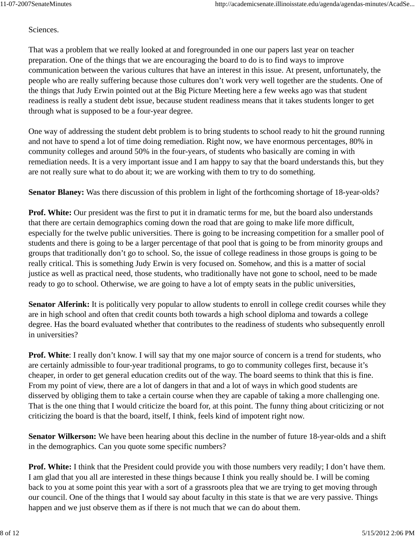#### Sciences.

That was a problem that we really looked at and foregrounded in one our papers last year on teacher preparation. One of the things that we are encouraging the board to do is to find ways to improve communication between the various cultures that have an interest in this issue. At present, unfortunately, the people who are really suffering because those cultures don't work very well together are the students. One of the things that Judy Erwin pointed out at the Big Picture Meeting here a few weeks ago was that student readiness is really a student debt issue, because student readiness means that it takes students longer to get through what is supposed to be a four-year degree.

One way of addressing the student debt problem is to bring students to school ready to hit the ground running and not have to spend a lot of time doing remediation. Right now, we have enormous percentages, 80% in community colleges and around 50% in the four-years, of students who basically are coming in with remediation needs. It is a very important issue and I am happy to say that the board understands this, but they are not really sure what to do about it; we are working with them to try to do something.

**Senator Blaney:** Was there discussion of this problem in light of the forthcoming shortage of 18-year-olds?

**Prof. White:** Our president was the first to put it in dramatic terms for me, but the board also understands that there are certain demographics coming down the road that are going to make life more difficult, especially for the twelve public universities. There is going to be increasing competition for a smaller pool of students and there is going to be a larger percentage of that pool that is going to be from minority groups and groups that traditionally don't go to school. So, the issue of college readiness in those groups is going to be really critical. This is something Judy Erwin is very focused on. Somehow, and this is a matter of social justice as well as practical need, those students, who traditionally have not gone to school, need to be made ready to go to school. Otherwise, we are going to have a lot of empty seats in the public universities,

**Senator Alferink:** It is politically very popular to allow students to enroll in college credit courses while they are in high school and often that credit counts both towards a high school diploma and towards a college degree. Has the board evaluated whether that contributes to the readiness of students who subsequently enroll in universities?

**Prof. White**: I really don't know. I will say that my one major source of concern is a trend for students, who are certainly admissible to four-year traditional programs, to go to community colleges first, because it's cheaper, in order to get general education credits out of the way. The board seems to think that this is fine. From my point of view, there are a lot of dangers in that and a lot of ways in which good students are disserved by obliging them to take a certain course when they are capable of taking a more challenging one. That is the one thing that I would criticize the board for, at this point. The funny thing about criticizing or not criticizing the board is that the board, itself, I think, feels kind of impotent right now.

**Senator Wilkerson:** We have been hearing about this decline in the number of future 18-year-olds and a shift in the demographics. Can you quote some specific numbers?

**Prof. White:** I think that the President could provide you with those numbers very readily; I don't have them. I am glad that you all are interested in these things because I think you really should be. I will be coming back to you at some point this year with a sort of a grassroots plea that we are trying to get moving through our council. One of the things that I would say about faculty in this state is that we are very passive. Things happen and we just observe them as if there is not much that we can do about them.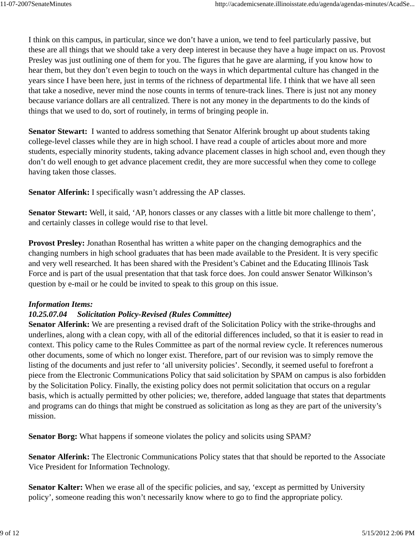I think on this campus, in particular, since we don't have a union, we tend to feel particularly passive, but these are all things that we should take a very deep interest in because they have a huge impact on us. Provost Presley was just outlining one of them for you. The figures that he gave are alarming, if you know how to hear them, but they don't even begin to touch on the ways in which departmental culture has changed in the years since I have been here, just in terms of the richness of departmental life. I think that we have all seen that take a nosedive, never mind the nose counts in terms of tenure-track lines. There is just not any money because variance dollars are all centralized. There is not any money in the departments to do the kinds of things that we used to do, sort of routinely, in terms of bringing people in.

**Senator Stewart:** I wanted to address something that Senator Alferink brought up about students taking college-level classes while they are in high school. I have read a couple of articles about more and more students, especially minority students, taking advance placement classes in high school and, even though they don't do well enough to get advance placement credit, they are more successful when they come to college having taken those classes.

**Senator Alferink:** I specifically wasn't addressing the AP classes.

**Senator Stewart:** Well, it said, 'AP, honors classes or any classes with a little bit more challenge to them', and certainly classes in college would rise to that level.

**Provost Presley:** Jonathan Rosenthal has written a white paper on the changing demographics and the changing numbers in high school graduates that has been made available to the President. It is very specific and very well researched. It has been shared with the President's Cabinet and the Educating Illinois Task Force and is part of the usual presentation that that task force does. Jon could answer Senator Wilkinson's question by e-mail or he could be invited to speak to this group on this issue.

## *Information Items:*

## *10.25.07.04 Solicitation Policy-Revised (Rules Committee)*

**Senator Alferink:** We are presenting a revised draft of the Solicitation Policy with the strike-throughs and underlines, along with a clean copy, with all of the editorial differences included, so that it is easier to read in context. This policy came to the Rules Committee as part of the normal review cycle. It references numerous other documents, some of which no longer exist. Therefore, part of our revision was to simply remove the listing of the documents and just refer to 'all university policies'. Secondly, it seemed useful to forefront a piece from the Electronic Communications Policy that said solicitation by SPAM on campus is also forbidden by the Solicitation Policy. Finally, the existing policy does not permit solicitation that occurs on a regular basis, which is actually permitted by other policies; we, therefore, added language that states that departments and programs can do things that might be construed as solicitation as long as they are part of the university's mission.

**Senator Borg:** What happens if someone violates the policy and solicits using SPAM?

**Senator Alferink:** The Electronic Communications Policy states that that should be reported to the Associate Vice President for Information Technology.

Senator Kalter: When we erase all of the specific policies, and say, 'except as permitted by University policy', someone reading this won't necessarily know where to go to find the appropriate policy.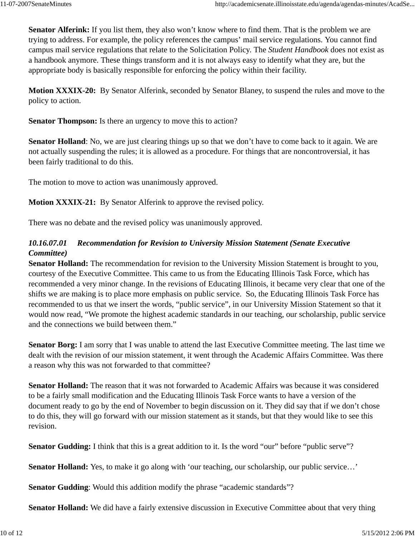**Senator Alferink:** If you list them, they also won't know where to find them. That is the problem we are trying to address. For example, the policy references the campus' mail service regulations. You cannot find campus mail service regulations that relate to the Solicitation Policy. The *Student Handbook* does not exist as a handbook anymore. These things transform and it is not always easy to identify what they are, but the appropriate body is basically responsible for enforcing the policy within their facility.

**Motion XXXIX-20:** By Senator Alferink, seconded by Senator Blaney, to suspend the rules and move to the policy to action.

**Senator Thompson:** Is there an urgency to move this to action?

**Senator Holland**: No, we are just clearing things up so that we don't have to come back to it again. We are not actually suspending the rules; it is allowed as a procedure. For things that are noncontroversial, it has been fairly traditional to do this.

The motion to move to action was unanimously approved.

**Motion XXXIX-21:** By Senator Alferink to approve the revised policy.

There was no debate and the revised policy was unanimously approved.

## *10.16.07.01 Recommendation for Revision to University Mission Statement (Senate Executive Committee)*

**Senator Holland:** The recommendation for revision to the University Mission Statement is brought to you, courtesy of the Executive Committee. This came to us from the Educating Illinois Task Force, which has recommended a very minor change. In the revisions of Educating Illinois, it became very clear that one of the shifts we are making is to place more emphasis on public service. So, the Educating Illinois Task Force has recommended to us that we insert the words, "public service", in our University Mission Statement so that it would now read, "We promote the highest academic standards in our teaching, our scholarship, public service and the connections we build between them."

**Senator Borg:** I am sorry that I was unable to attend the last Executive Committee meeting. The last time we dealt with the revision of our mission statement, it went through the Academic Affairs Committee. Was there a reason why this was not forwarded to that committee?

**Senator Holland:** The reason that it was not forwarded to Academic Affairs was because it was considered to be a fairly small modification and the Educating Illinois Task Force wants to have a version of the document ready to go by the end of November to begin discussion on it. They did say that if we don't chose to do this, they will go forward with our mission statement as it stands, but that they would like to see this revision.

**Senator Gudding:** I think that this is a great addition to it. Is the word "our" before "public serve"?

**Senator Holland:** Yes, to make it go along with 'our teaching, our scholarship, our public service...'

**Senator Gudding**: Would this addition modify the phrase "academic standards"?

**Senator Holland:** We did have a fairly extensive discussion in Executive Committee about that very thing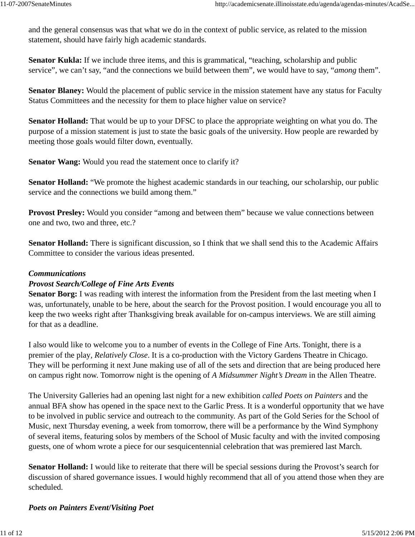and the general consensus was that what we do in the context of public service, as related to the mission statement, should have fairly high academic standards.

**Senator Kukla:** If we include three items, and this is grammatical, "teaching, scholarship and public service", we can't say, "and the connections we build between them", we would have to say, "*among* them".

**Senator Blaney:** Would the placement of public service in the mission statement have any status for Faculty Status Committees and the necessity for them to place higher value on service?

**Senator Holland:** That would be up to your DFSC to place the appropriate weighting on what you do. The purpose of a mission statement is just to state the basic goals of the university. How people are rewarded by meeting those goals would filter down, eventually.

**Senator Wang:** Would you read the statement once to clarify it?

**Senator Holland:** "We promote the highest academic standards in our teaching, our scholarship, our public service and the connections we build among them."

**Provost Presley:** Would you consider "among and between them" because we value connections between one and two, two and three, etc.?

**Senator Holland:** There is significant discussion, so I think that we shall send this to the Academic Affairs Committee to consider the various ideas presented.

#### *Communications*

## *Provost Search/College of Fine Arts Events*

**Senator Borg:** I was reading with interest the information from the President from the last meeting when I was, unfortunately, unable to be here, about the search for the Provost position. I would encourage you all to keep the two weeks right after Thanksgiving break available for on-campus interviews. We are still aiming for that as a deadline.

I also would like to welcome you to a number of events in the College of Fine Arts. Tonight, there is a premier of the play*, Relatively Close*. It is a co-production with the Victory Gardens Theatre in Chicago. They will be performing it next June making use of all of the sets and direction that are being produced here on campus right now. Tomorrow night is the opening of *A Midsummer Night's Dream* in the Allen Theatre.

The University Galleries had an opening last night for a new exhibition *called Poets on Painters* and the annual BFA show has opened in the space next to the Garlic Press. It is a wonderful opportunity that we have to be involved in public service and outreach to the community. As part of the Gold Series for the School of Music, next Thursday evening, a week from tomorrow, there will be a performance by the Wind Symphony of several items, featuring solos by members of the School of Music faculty and with the invited composing guests, one of whom wrote a piece for our sesquicentennial celebration that was premiered last March.

**Senator Holland:** I would like to reiterate that there will be special sessions during the Provost's search for discussion of shared governance issues. I would highly recommend that all of you attend those when they are scheduled.

*Poets on Painters Event***/***Visiting Poet*